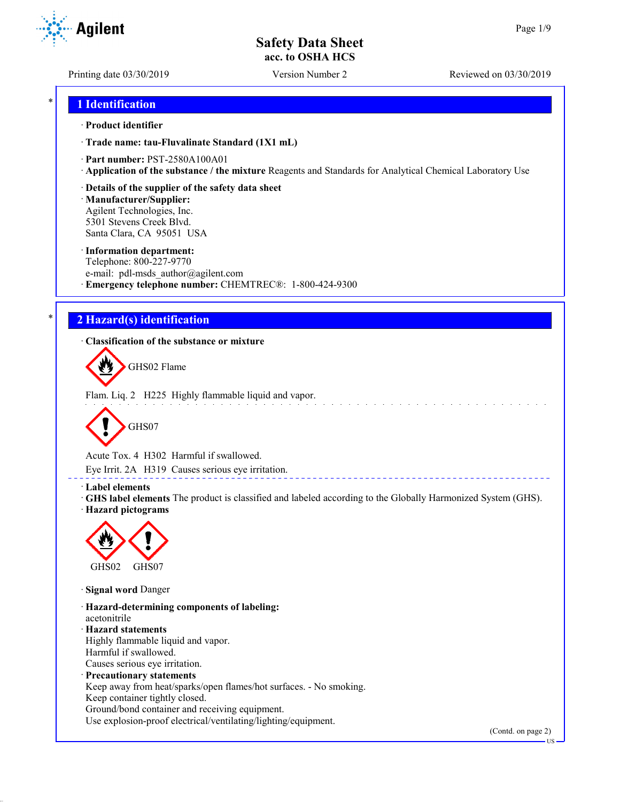Printing date 03/30/2019 Version Number 2 Reviewed on 03/30/2019

## \* **1 Identification**

### · **Product identifier**

· **Trade name: tau-Fluvalinate Standard (1X1 mL)**

- · **Part number:** PST-2580A100A01
- · **Application of the substance / the mixture** Reagents and Standards for Analytical Chemical Laboratory Use
- · **Details of the supplier of the safety data sheet**

· **Manufacturer/Supplier:** Agilent Technologies, Inc. 5301 Stevens Creek Blvd. Santa Clara, CA 95051 USA

### · **Information department:**

Telephone: 800-227-9770 e-mail: pdl-msds author@agilent.com · **Emergency telephone number:** CHEMTREC®: 1-800-424-9300

## \* **2 Hazard(s) identification**

· **Classification of the substance or mixture**

GHS02 Flame

Flam. Liq. 2 H225 Highly flammable liquid and vapor.



Acute Tox. 4 H302 Harmful if swallowed.

Eye Irrit. 2A H319 Causes serious eye irritation.

### · **Label elements**

· **GHS label elements** The product is classified and labeled according to the Globally Harmonized System (GHS). · **Hazard pictograms**



· **Signal word** Danger

· **Hazard-determining components of labeling:** acetonitrile · **Hazard statements** Highly flammable liquid and vapor. Harmful if swallowed. Causes serious eye irritation. · **Precautionary statements** Keep away from heat/sparks/open flames/hot surfaces. - No smoking. Keep container tightly closed. Ground/bond container and receiving equipment. Use explosion-proof electrical/ventilating/lighting/equipment.

(Contd. on page 2)



US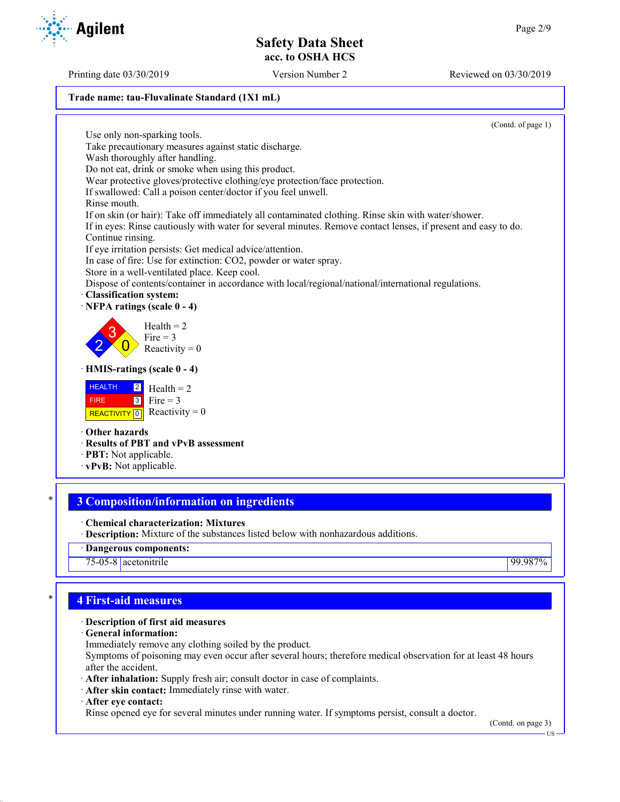### **Trade name: tau-Fluvalinate Standard (1X1 mL)**

(Contd. of page 1)

Use only non-sparking tools. Take precautionary measures against static discharge. Wash thoroughly after handling. Do not eat, drink or smoke when using this product. Wear protective gloves/protective clothing/eye protection/face protection. If swallowed: Call a poison center/doctor if you feel unwell. Rinse mouth. If on skin (or hair): Take off immediately all contaminated clothing. Rinse skin with water/shower. If in eyes: Rinse cautiously with water for several minutes. Remove contact lenses, if present and easy to do. Continue rinsing. If eye irritation persists: Get medical advice/attention. In case of fire: Use for extinction: CO2, powder or water spray. Store in a well-ventilated place. Keep cool. Dispose of contents/container in accordance with local/regional/national/international regulations. · **Classification system:** · **NFPA ratings (scale 0 - 4)** 2 3  $\overline{0}$  $Health = 2$ Fire  $= 3$ Reactivity  $= 0$ · **HMIS-ratings (scale 0 - 4) HEALTH**  FIRE REACTIVITY  $\boxed{0}$  Reactivity = 0 2 3  $Health = 2$ Fire  $= 3$ · **Other hazards** · **Results of PBT and vPvB assessment** · **PBT:** Not applicable. · **vPvB:** Not applicable.

# \* **3 Composition/information on ingredients**

- · **Chemical characterization: Mixtures**
- · **Description:** Mixture of the substances listed below with nonhazardous additions.
- · **Dangerous components:**

75-05-8 acetonitrile 99.987%

## \* **4 First-aid measures**

## · **Description of first aid measures**

- · **General information:**
- Immediately remove any clothing soiled by the product.

Symptoms of poisoning may even occur after several hours; therefore medical observation for at least 48 hours after the accident.

- · **After inhalation:** Supply fresh air; consult doctor in case of complaints.
- · **After skin contact:** Immediately rinse with water.
- · **After eye contact:**

Rinse opened eye for several minutes under running water. If symptoms persist, consult a doctor.

(Contd. on page 3)

Printing date 03/30/2019 Version Number 2 Reviewed on 03/30/2019

**Agilent**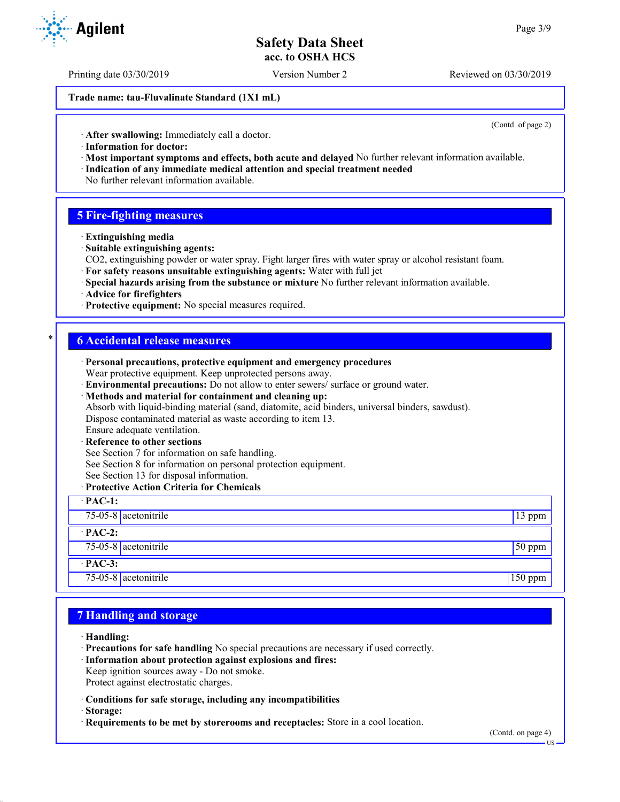Printing date 03/30/2019 Version Number 2 Reviewed on 03/30/2019

**Trade name: tau-Fluvalinate Standard (1X1 mL)**

(Contd. of page 2)

· **After swallowing:** Immediately call a doctor.

- · **Information for doctor:**
- · **Most important symptoms and effects, both acute and delayed** No further relevant information available. · **Indication of any immediate medical attention and special treatment needed**
- No further relevant information available.

## **5 Fire-fighting measures**

- · **Extinguishing media**
- · **Suitable extinguishing agents:**
- CO2, extinguishing powder or water spray. Fight larger fires with water spray or alcohol resistant foam.
- · **For safety reasons unsuitable extinguishing agents:** Water with full jet
- · **Special hazards arising from the substance or mixture** No further relevant information available.
- · **Advice for firefighters**
- · **Protective equipment:** No special measures required.

### \* **6 Accidental release measures**

| · Personal precautions, protective equipment and emergency procedures                            |                 |
|--------------------------------------------------------------------------------------------------|-----------------|
| Wear protective equipment. Keep unprotected persons away.                                        |                 |
| · Environmental precautions: Do not allow to enter sewers/ surface or ground water.              |                 |
| · Methods and material for containment and cleaning up:                                          |                 |
| Absorb with liquid-binding material (sand, diatomite, acid binders, universal binders, sawdust). |                 |
| Dispose contaminated material as waste according to item 13.                                     |                 |
| Ensure adequate ventilation.                                                                     |                 |
| · Reference to other sections                                                                    |                 |
| See Section 7 for information on safe handling.                                                  |                 |
| See Section 8 for information on personal protection equipment.                                  |                 |
| See Section 13 for disposal information.                                                         |                 |
| · Protective Action Criteria for Chemicals                                                       |                 |
| $\cdot$ PAC-1:                                                                                   |                 |
| 75-05-8 $ $ acetonitrile                                                                         | 13 ppm          |
| $\cdot$ PAC-2:                                                                                   |                 |
| 75-05-8 acetonitrile                                                                             | $\sqrt{50}$ ppm |
| $·$ PAC-3:                                                                                       |                 |
| 75-05-8 $ $ acetonitrile                                                                         | $150$ ppm       |

## **7 Handling and storage**

- · **Handling:**
- · **Precautions for safe handling** No special precautions are necessary if used correctly.
- · **Information about protection against explosions and fires:**
- Keep ignition sources away Do not smoke.
- Protect against electrostatic charges.
- · **Conditions for safe storage, including any incompatibilities**
- · **Storage:**
- · **Requirements to be met by storerooms and receptacles:** Store in a cool location.



US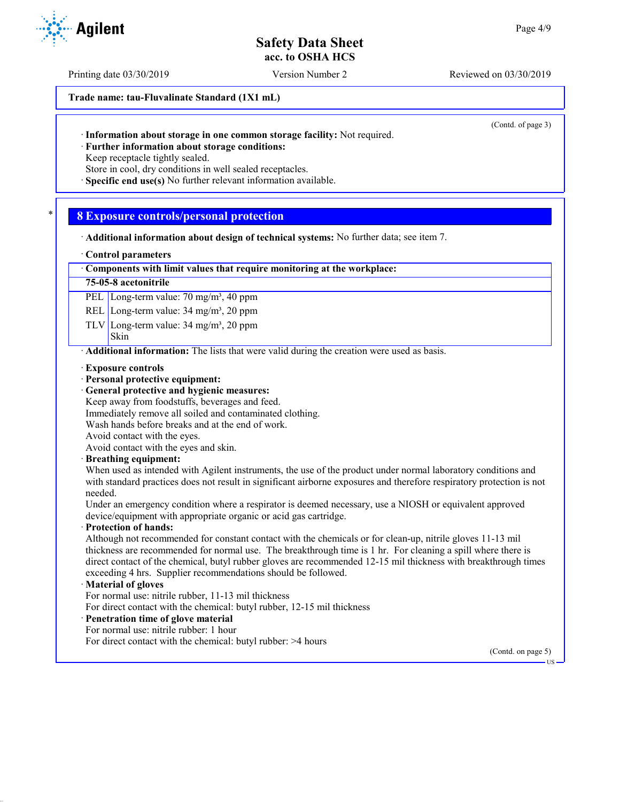Printing date 03/30/2019 Version Number 2 Reviewed on 03/30/2019

**Trade name: tau-Fluvalinate Standard (1X1 mL)**

(Contd. of page 3)

· **Further information about storage conditions:**

Keep receptacle tightly sealed.

Store in cool, dry conditions in well sealed receptacles.

· **Specific end use(s)** No further relevant information available.

## \* **8 Exposure controls/personal protection**

- · **Additional information about design of technical systems:** No further data; see item 7.
- · **Control parameters**

### · **Components with limit values that require monitoring at the workplace:**

### **75-05-8 acetonitrile**

PEL Long-term value: 70 mg/m<sup>3</sup>, 40 ppm

REL Long-term value: 34 mg/m<sup>3</sup>, 20 ppm

TLV Long-term value:  $34 \text{ mg/m}^3$ ,  $20 \text{ ppm}$ 

### Skin

**Agilent** 

· **Additional information:** The lists that were valid during the creation were used as basis.

- · **Exposure controls**
- · **Personal protective equipment:**
- · **General protective and hygienic measures:**
- Keep away from foodstuffs, beverages and feed.
- Immediately remove all soiled and contaminated clothing.
- Wash hands before breaks and at the end of work.

Avoid contact with the eyes.

Avoid contact with the eyes and skin.

· **Breathing equipment:**

When used as intended with Agilent instruments, the use of the product under normal laboratory conditions and with standard practices does not result in significant airborne exposures and therefore respiratory protection is not needed.

Under an emergency condition where a respirator is deemed necessary, use a NIOSH or equivalent approved device/equipment with appropriate organic or acid gas cartridge.

### · **Protection of hands:**

Although not recommended for constant contact with the chemicals or for clean-up, nitrile gloves 11-13 mil thickness are recommended for normal use. The breakthrough time is 1 hr. For cleaning a spill where there is direct contact of the chemical, butyl rubber gloves are recommended 12-15 mil thickness with breakthrough times exceeding 4 hrs. Supplier recommendations should be followed.

### · **Material of gloves**

For normal use: nitrile rubber, 11-13 mil thickness

For direct contact with the chemical: butyl rubber, 12-15 mil thickness

- · **Penetration time of glove material**
- For normal use: nitrile rubber: 1 hour
- For direct contact with the chemical: butyl rubber: >4 hours

(Contd. on page 5)

US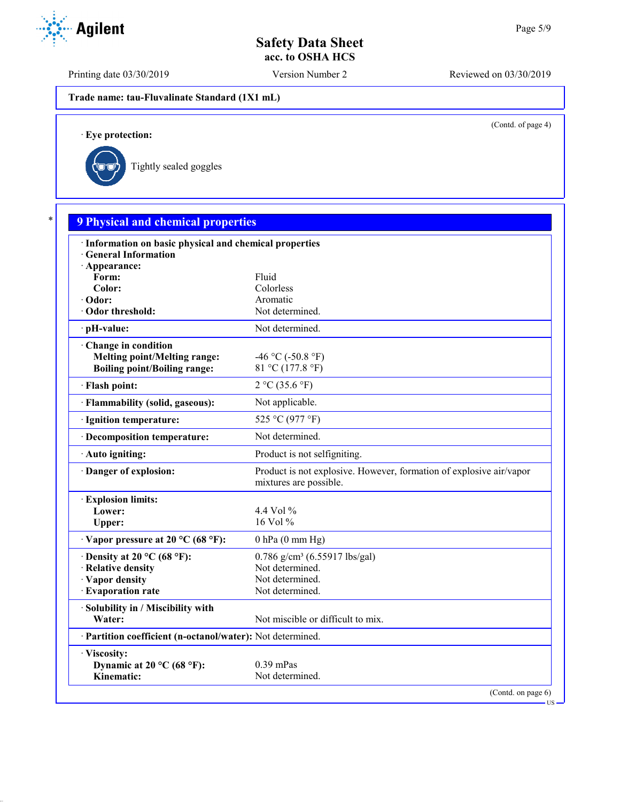Printing date 03/30/2019 Version Number 2 Reviewed on 03/30/2019

**Trade name: tau-Fluvalinate Standard (1X1 mL)**

(Contd. of page 4)

US

· **Eye protection:**



| · Information on basic physical and chemical properties    |                                                                                               |
|------------------------------------------------------------|-----------------------------------------------------------------------------------------------|
| <b>General Information</b>                                 |                                                                                               |
| · Appearance:                                              |                                                                                               |
| Form:                                                      | Fluid                                                                                         |
| Color:                                                     | Colorless<br>Aromatic                                                                         |
| · Odor:<br>Odor threshold:                                 | Not determined.                                                                               |
|                                                            |                                                                                               |
| · pH-value:                                                | Not determined.                                                                               |
| Change in condition                                        |                                                                                               |
| <b>Melting point/Melting range:</b>                        | -46 °C (-50.8 °F)<br>81 °C (177.8 °F)                                                         |
| <b>Boiling point/Boiling range:</b>                        |                                                                                               |
| · Flash point:                                             | 2 °C (35.6 °F)                                                                                |
| · Flammability (solid, gaseous):                           | Not applicable.                                                                               |
| · Ignition temperature:                                    | 525 °C (977 °F)                                                                               |
| · Decomposition temperature:                               | Not determined.                                                                               |
| · Auto igniting:                                           | Product is not selfigniting.                                                                  |
| Danger of explosion:                                       | Product is not explosive. However, formation of explosive air/vapor<br>mixtures are possible. |
| <b>Explosion limits:</b>                                   |                                                                                               |
| Lower:                                                     | 4.4 Vol %                                                                                     |
| Upper:                                                     | 16 Vol %                                                                                      |
| $\cdot$ Vapor pressure at 20 °C (68 °F):                   | $0$ hPa $(0$ mm Hg)                                                                           |
| $\cdot$ Density at 20 °C (68 °F):                          | $0.786$ g/cm <sup>3</sup> (6.55917 lbs/gal)                                                   |
| · Relative density                                         | Not determined.                                                                               |
| · Vapor density                                            | Not determined.                                                                               |
| · Evaporation rate                                         | Not determined.                                                                               |
| · Solubility in / Miscibility with                         |                                                                                               |
| Water:                                                     | Not miscible or difficult to mix.                                                             |
| · Partition coefficient (n-octanol/water): Not determined. |                                                                                               |
| · Viscosity:                                               |                                                                                               |
| Dynamic at 20 °C (68 °F):                                  | $0.39$ mPas                                                                                   |

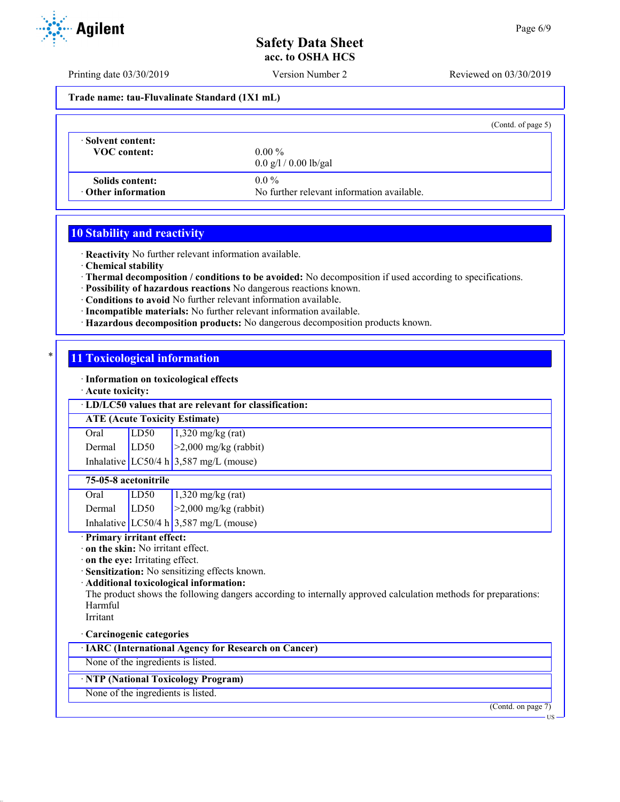Printing date 03/30/2019 Version Number 2 Reviewed on 03/30/2019

**Trade name: tau-Fluvalinate Standard (1X1 mL)**

|                           | (Contd. of page 5)                         |
|---------------------------|--------------------------------------------|
| Solvent content:          | $0.00\%$                                   |
| <b>VOC</b> content:       | $0.0 \frac{g}{1} / 0.00 \frac{g}{g}$       |
| Solids content:           | $0.0\%$                                    |
| $\cdot$ Other information | No further relevant information available. |

## **10 Stability and reactivity**

· **Reactivity** No further relevant information available.

· **Chemical stability**

· **Thermal decomposition / conditions to be avoided:** No decomposition if used according to specifications.

- · **Possibility of hazardous reactions** No dangerous reactions known.
- · **Conditions to avoid** No further relevant information available.
- · **Incompatible materials:** No further relevant information available.
- · **Hazardous decomposition products:** No dangerous decomposition products known.

## **11 Toxicological information**

· **Information on toxicological effects**

· **Acute toxicity:**

### · **LD/LC50 values that are relevant for classification:**

### **ATE (Acute Toxicity Estimate)**

| Oral        | LD50 | $1,320$ mg/kg (rat)                      |
|-------------|------|------------------------------------------|
| Dermal LD50 |      | $\ge$ 2,000 mg/kg (rabbit)               |
|             |      | Inhalative LC50/4 h $3,587$ mg/L (mouse) |

## **75-05-8 acetonitrile**

| Oral   | LD50 | $1,320$ mg/kg (rat)                      |
|--------|------|------------------------------------------|
| Dermal | LD50 | $\geq$ 2,000 mg/kg (rabbit)              |
|        |      | Inhalative LC50/4 h $3,587$ mg/L (mouse) |

### · **Primary irritant effect:**

· **on the skin:** No irritant effect.

· **on the eye:** Irritating effect.

· **Sensitization:** No sensitizing effects known.

· **Additional toxicological information:**

The product shows the following dangers according to internally approved calculation methods for preparations: Harmful

Irritant

## · **Carcinogenic categories**

· **IARC (International Agency for Research on Cancer)**

None of the ingredients is listed.

## · **NTP (National Toxicology Program)**

None of the ingredients is listed.

(Contd. on page 7)



US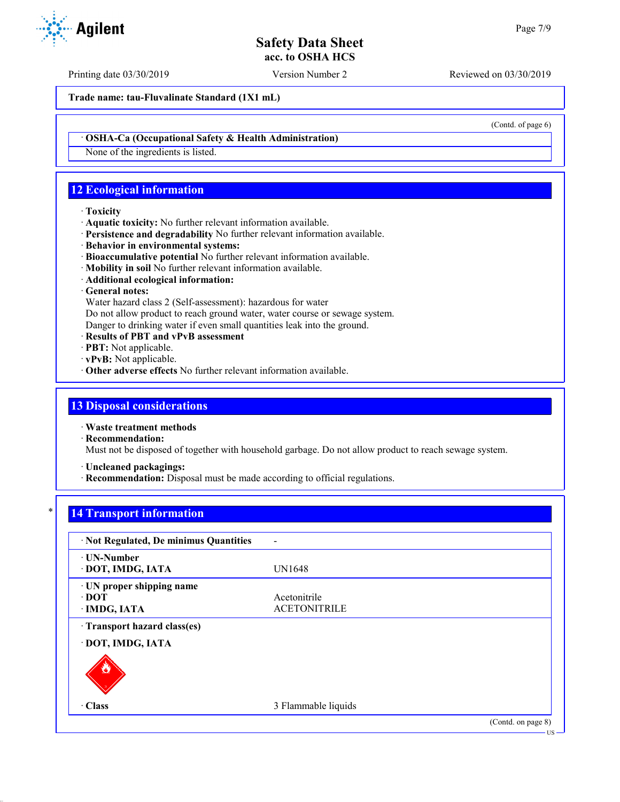Printing date 03/30/2019 Version Number 2 Reviewed on 03/30/2019

**Trade name: tau-Fluvalinate Standard (1X1 mL)**

· **OSHA-Ca (Occupational Safety & Health Administration)**

None of the ingredients is listed.

# **12 Ecological information**

### · **Toxicity**

- · **Aquatic toxicity:** No further relevant information available.
- · **Persistence and degradability** No further relevant information available.
- · **Behavior in environmental systems:**
- · **Bioaccumulative potential** No further relevant information available.
- · **Mobility in soil** No further relevant information available.
- · **Additional ecological information:**

## · **General notes:**

Water hazard class 2 (Self-assessment): hazardous for water

Do not allow product to reach ground water, water course or sewage system.

Danger to drinking water if even small quantities leak into the ground.

- · **Results of PBT and vPvB assessment**
- · **PBT:** Not applicable.
- · **vPvB:** Not applicable.
- · **Other adverse effects** No further relevant information available.

## **13 Disposal considerations**

· **Waste treatment methods**

· **Recommendation:**

Must not be disposed of together with household garbage. Do not allow product to reach sewage system.

· **Uncleaned packagings:**

· **Recommendation:** Disposal must be made according to official regulations.

# **14 Transport information**

| · Not Regulated, De minimus Quantities                   |                                     |                    |
|----------------------------------------------------------|-------------------------------------|--------------------|
| · UN-Number<br>· DOT, IMDG, IATA                         | <b>UN1648</b>                       |                    |
| · UN proper shipping name<br>$\cdot$ DOT<br>· IMDG, IATA | Acetonitrile<br><b>ACETONITRILE</b> |                    |
| · Transport hazard class(es)<br>· DOT, IMDG, IATA        |                                     |                    |
|                                                          |                                     |                    |
| · Class                                                  | 3 Flammable liquids                 |                    |
|                                                          |                                     | (Contd. on page 8) |



(Contd. of page 6)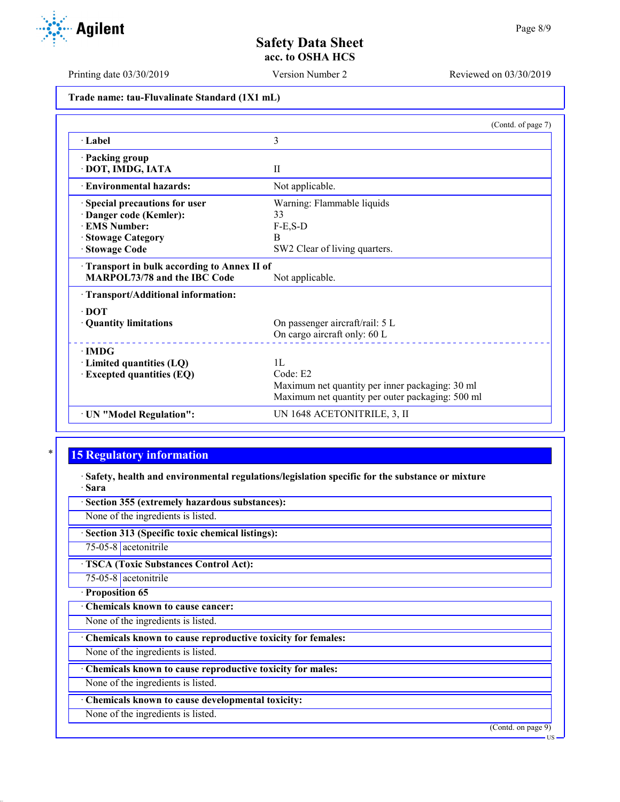Printing date 03/30/2019 Version Number 2 Reviewed on 03/30/2019

**Trade name: tau-Fluvalinate Standard (1X1 mL)**

|                                            | (Contd. of page 7)                               |
|--------------------------------------------|--------------------------------------------------|
| · Label                                    | 3                                                |
| · Packing group                            |                                                  |
| · DOT, IMDG, IATA                          | $\mathbf{I}$                                     |
| · Environmental hazards:                   | Not applicable.                                  |
| Special precautions for user               | Warning: Flammable liquids                       |
| Danger code (Kemler):                      | 33                                               |
| <b>EMS Number:</b>                         | $F-E$ , $S-D$                                    |
| <b>Stowage Category</b>                    | B                                                |
| <b>Stowage Code</b>                        | SW2 Clear of living quarters.                    |
| Transport in bulk according to Annex II of |                                                  |
| <b>MARPOL73/78 and the IBC Code</b>        | Not applicable.                                  |
| · Transport/Additional information:        |                                                  |
| $\cdot$ DOT                                |                                                  |
| · Quantity limitations                     | On passenger aircraft/rail: 5 L                  |
|                                            | On cargo aircraft only: 60 L                     |
| $\cdot$ IMDG                               |                                                  |
| $\cdot$ Limited quantities (LQ)            | 1 <sub>L</sub>                                   |
| <b>Excepted quantities (EQ)</b>            | Code: E2                                         |
|                                            | Maximum net quantity per inner packaging: 30 ml  |
|                                            | Maximum net quantity per outer packaging: 500 ml |
| · UN "Model Regulation":                   | UN 1648 ACETONITRILE, 3, II                      |

# **15 Regulatory information**

· **Safety, health and environmental regulations/legislation specific for the substance or mixture** · **Sara**

· **Section 355 (extremely hazardous substances):**

None of the ingredients is listed.

· **Section 313 (Specific toxic chemical listings):**

75-05-8 acetonitrile

· **TSCA (Toxic Substances Control Act):**

75-05-8 acetonitrile · **Proposition 65**

· **Chemicals known to cause cancer:**

None of the ingredients is listed.

· **Chemicals known to cause reproductive toxicity for females:**

None of the ingredients is listed.

· **Chemicals known to cause reproductive toxicity for males:**

None of the ingredients is listed.

· **Chemicals known to cause developmental toxicity:**

None of the ingredients is listed.

(Contd. on page 9)

US